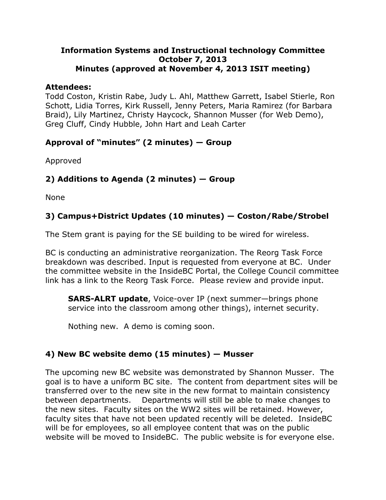#### **Information Systems and Instructional technology Committee October 7, 2013 Minutes (approved at November 4, 2013 ISIT meeting)**

#### **Attendees:**

Todd Coston, Kristin Rabe, Judy L. Ahl, Matthew Garrett, Isabel Stierle, Ron Schott, Lidia Torres, Kirk Russell, Jenny Peters, Maria Ramirez (for Barbara Braid), Lily Martinez, Christy Haycock, Shannon Musser (for Web Demo), Greg Cluff, Cindy Hubble, John Hart and Leah Carter

# **Approval of "minutes" (2 minutes) — Group**

Approved

# **2) Additions to Agenda (2 minutes) — Group**

None

# **3) Campus+District Updates (10 minutes) — Coston/Rabe/Strobel**

The Stem grant is paying for the SE building to be wired for wireless.

BC is conducting an administrative reorganization. The Reorg Task Force breakdown was described. Input is requested from everyone at BC. Under the committee website in the InsideBC Portal, the College Council committee link has a link to the Reorg Task Force. Please review and provide input.

**SARS-ALRT update**, Voice-over IP (next summer—brings phone service into the classroom among other things), internet security.

Nothing new. A demo is coming soon.

# **4) New BC website demo (15 minutes) — Musser**

The upcoming new BC website was demonstrated by Shannon Musser. The goal is to have a uniform BC site. The content from department sites will be transferred over to the new site in the new format to maintain consistency between departments. Departments will still be able to make changes to the new sites. Faculty sites on the WW2 sites will be retained. However, faculty sites that have not been updated recently will be deleted. InsideBC will be for employees, so all employee content that was on the public website will be moved to InsideBC. The public website is for everyone else.